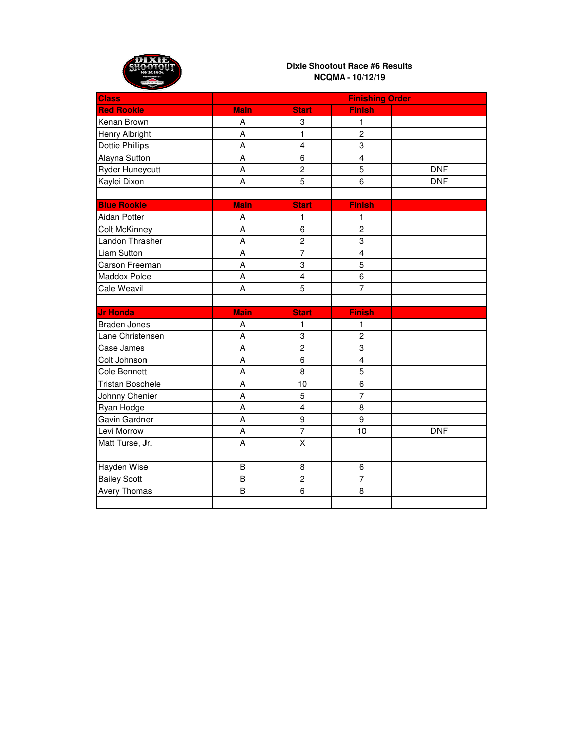

| <b>Class</b>            |                | <b>Finishing Order</b>  |                         |            |
|-------------------------|----------------|-------------------------|-------------------------|------------|
| <b>Red Rookie</b>       | <b>Main</b>    | <b>Start</b>            | <b>Finish</b>           |            |
| Kenan Brown             | A              | 3                       | 1                       |            |
| Henry Albright          | A              | 1                       | $\overline{c}$          |            |
| <b>Dottie Phillips</b>  | A              | $\overline{\mathbf{4}}$ | 3                       |            |
| Alayna Sutton           | A              | 6                       | $\overline{4}$          |            |
| Ryder Huneycutt         | A              | $\overline{c}$          | 5                       | <b>DNF</b> |
| Kaylei Dixon            | A              | $\overline{5}$          | $\overline{6}$          | <b>DNF</b> |
|                         |                |                         |                         |            |
| <b>Blue Rookie</b>      | <b>Main</b>    | <b>Start</b>            | <b>Finish</b>           |            |
| Aidan Potter            | A              | 1                       | 1                       |            |
| <b>Colt McKinney</b>    | A              | 6                       | $\overline{c}$          |            |
| Landon Thrasher         | A              | $\overline{c}$          | 3                       |            |
| <b>Liam Sutton</b>      | A              | $\overline{7}$          | $\overline{\mathbf{4}}$ |            |
| Carson Freeman          | A              | $\overline{3}$          | $\overline{5}$          |            |
| Maddox Polce            | A              | $\overline{4}$          | 6                       |            |
| <b>Cale Weavil</b>      | A              | 5                       | $\overline{7}$          |            |
|                         |                |                         |                         |            |
| <b>Jr Honda</b>         | <b>Main</b>    | <b>Start</b>            | <b>Finish</b>           |            |
| <b>Braden Jones</b>     | Α              | 1                       | 1                       |            |
| Lane Christensen        | A              | 3                       | $\overline{2}$          |            |
| Case James              | A              | $\mathbf 2$             | 3                       |            |
| Colt Johnson            | A              | 6                       | $\overline{\mathbf{4}}$ |            |
| <b>Cole Bennett</b>     | A              | 8                       | 5                       |            |
| <b>Tristan Boschele</b> | $\overline{A}$ | 10                      | 6                       |            |
| Johnny Chenier          | A              | $\overline{5}$          | $\overline{7}$          |            |
| Ryan Hodge              | A              | $\overline{\mathbf{4}}$ | $\overline{8}$          |            |
| Gavin Gardner           | A              | 9                       | $\overline{9}$          |            |
| Levi Morrow             | A              | $\overline{7}$          | 10                      | <b>DNF</b> |
| Matt Turse, Jr.         | A              | $\overline{\mathsf{x}}$ |                         |            |
|                         |                |                         |                         |            |
| Hayden Wise             | B              | 8                       | 6                       |            |
| <b>Bailey Scott</b>     | B              | $\overline{c}$          | $\overline{7}$          |            |
| Avery Thomas            | $\mathsf B$    | 6                       | 8                       |            |
|                         |                |                         |                         |            |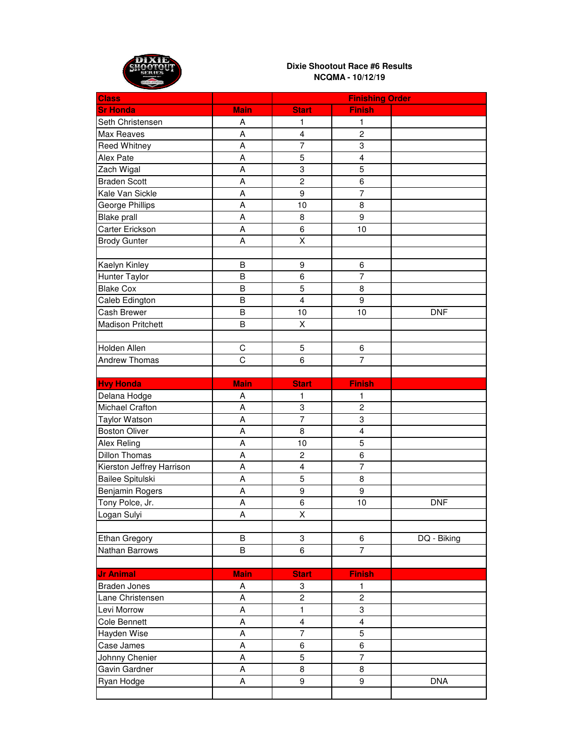

| <b>Class</b>              |             |                         | <b>Finishing Order</b>  |             |
|---------------------------|-------------|-------------------------|-------------------------|-------------|
| <b>Sr Honda</b>           | <b>Main</b> | <b>Start</b>            | <b>Finish</b>           |             |
| Seth Christensen          | Α           | 1                       | 1                       |             |
| Max Reaves                | A           | 4                       | $\overline{c}$          |             |
| Reed Whitney              | A           | $\overline{7}$          | 3                       |             |
| Alex Pate                 | A           | 5                       | 4                       |             |
| Zach Wigal                | A           | 3                       | $\overline{5}$          |             |
| <b>Braden Scott</b>       | A           | $\overline{2}$          | 6                       |             |
| Kale Van Sickle           | A           | 9                       | $\overline{7}$          |             |
| George Phillips           | A           | 10                      | 8                       |             |
| <b>Blake prall</b>        | A           | 8                       | $\boldsymbol{9}$        |             |
| Carter Erickson           | A           | 6                       | 10                      |             |
| <b>Brody Gunter</b>       | A           | X                       |                         |             |
|                           |             |                         |                         |             |
| Kaelyn Kinley             | B           | 9                       | $\,6$                   |             |
| Hunter Taylor             | B           | 6                       | $\overline{7}$          |             |
| <b>Blake Cox</b>          | B           | 5                       | 8                       |             |
| Caleb Edington            | B           | $\overline{\mathbf{4}}$ | $\boldsymbol{9}$        |             |
| Cash Brewer               | B           | 10                      | 10                      | <b>DNF</b>  |
| <b>Madison Pritchett</b>  | B           | Χ                       |                         |             |
|                           |             |                         |                         |             |
| Holden Allen              | $\mathsf C$ | 5                       | $\,6\,$                 |             |
| <b>Andrew Thomas</b>      | $\mathsf C$ | 6                       | $\overline{7}$          |             |
|                           |             |                         |                         |             |
| <b>Hvy Honda</b>          | <b>Main</b> | <b>Start</b>            | <b>Finish</b>           |             |
| Delana Hodge              | A           | 1                       | 1                       |             |
| <b>Michael Crafton</b>    | A           | 3                       | $\overline{c}$          |             |
| <b>Taylor Watson</b>      | Α           | $\overline{7}$          | 3                       |             |
| <b>Boston Oliver</b>      | A           | 8                       | $\overline{\mathbf{4}}$ |             |
| Alex Reling               | A           | 10                      | 5                       |             |
| <b>Dillon Thomas</b>      | A           | $\overline{c}$          | 6                       |             |
| Kierston Jeffrey Harrison | A           | 4                       | $\overline{7}$          |             |
| Bailee Spitulski          | A           | $\overline{5}$          | 8                       |             |
| <b>Benjamin Rogers</b>    | A           | 9                       | $\boldsymbol{9}$        |             |
| Tony Polce, Jr.           | A           | 6                       | 10                      | <b>DNF</b>  |
| Logan Sulyi               | A           | X                       |                         |             |
|                           |             |                         |                         |             |
| <b>Ethan Gregory</b>      | $\sf B$     | 3                       | $\,6\,$                 | DQ - Biking |
| Nathan Barrows            | B           | 6                       | $\overline{7}$          |             |
|                           |             |                         |                         |             |
| <b>Jr Animal</b>          | <b>Main</b> | <b>Start</b>            | <b>Finish</b>           |             |
| <b>Braden Jones</b>       | Α           | 3                       | 1                       |             |
| Lane Christensen          | A           | $\overline{c}$          | $\overline{c}$          |             |
| Levi Morrow               | A           | $\mathbf{1}$            | $\overline{3}$          |             |
| Cole Bennett              | A           | $\overline{\mathbf{4}}$ | $\overline{4}$          |             |
| Hayden Wise               | A           | $\overline{7}$          | 5                       |             |
| Case James                | A           | 6                       | 6                       |             |
| Johnny Chenier            | A           | 5                       | $\overline{7}$          |             |
| Gavin Gardner             | A           | 8                       | 8                       |             |
| Ryan Hodge                | А           | 9                       | 9                       | <b>DNA</b>  |
|                           |             |                         |                         |             |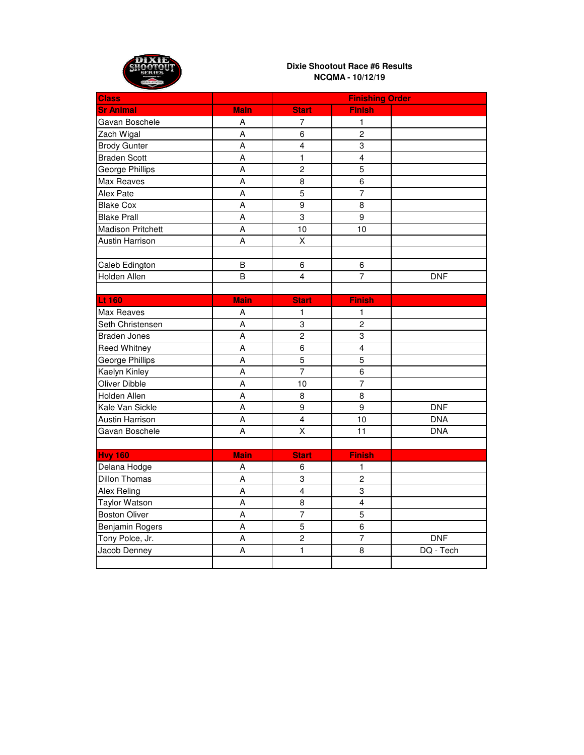

| <b>Class</b>             |                | <b>Finishing Order</b>  |                         |            |
|--------------------------|----------------|-------------------------|-------------------------|------------|
| <b>Sr Animal</b>         | <b>Main</b>    | <b>Start</b>            | <b>Finish</b>           |            |
| Gavan Boschele           | A              | $\overline{7}$          | 1                       |            |
| Zach Wigal               | A              | 6                       | $\overline{2}$          |            |
| <b>Brody Gunter</b>      | A              | $\overline{\mathbf{4}}$ | 3                       |            |
| <b>Braden Scott</b>      | $\overline{A}$ | $\mathbf{1}$            | $\overline{\mathbf{4}}$ |            |
| George Phillips          | A              | $\overline{c}$          | 5                       |            |
| Max Reaves               | A              | 8                       | 6                       |            |
| Alex Pate                | $\overline{A}$ | $\overline{5}$          | $\overline{7}$          |            |
| <b>Blake Cox</b>         | $\overline{A}$ | 9                       | 8                       |            |
| <b>Blake Prall</b>       | A              | $\overline{3}$          | $\overline{9}$          |            |
| <b>Madison Pritchett</b> | A              | 10                      | 10                      |            |
| <b>Austin Harrison</b>   | A              | $\mathsf{\overline{X}}$ |                         |            |
|                          |                |                         |                         |            |
| Caleb Edington           | B              | 6                       | 6                       |            |
| Holden Allen             | B              | 4                       | $\overline{7}$          | <b>DNF</b> |
|                          |                |                         |                         |            |
| Lt 160                   | <b>Main</b>    | <b>Start</b>            | <b>Finish</b>           |            |
| <b>Max Reaves</b>        | A              | $\mathbf{1}$            | $\mathbf{1}$            |            |
| Seth Christensen         | A              | 3                       | $\overline{2}$          |            |
| <b>Braden Jones</b>      | $\overline{A}$ | $\overline{c}$          | 3                       |            |
| Reed Whitney             | A              | 6                       | $\overline{\mathbf{4}}$ |            |
| George Phillips          | A              | 5                       | $\overline{5}$          |            |
| Kaelyn Kinley            | A              | $\overline{7}$          | 6                       |            |
| Oliver Dibble            | A              | 10                      | $\overline{7}$          |            |
| Holden Allen             | $\overline{A}$ | 8                       | $\overline{8}$          |            |
| Kale Van Sickle          | A              | 9                       | 9                       | DNF        |
| <b>Austin Harrison</b>   | A              | $\overline{\mathbf{4}}$ | 10                      | <b>DNA</b> |
| Gavan Boschele           | A              | $\overline{\mathsf{x}}$ | 11                      | <b>DNA</b> |
|                          |                |                         |                         |            |
| <b>Hvy 160</b>           | <b>Main</b>    | <b>Start</b>            | <b>Finish</b>           |            |
| Delana Hodge             | A              | 6                       | 1                       |            |
| <b>Dillon Thomas</b>     | $\overline{A}$ | 3                       | $\overline{2}$          |            |
| <b>Alex Reling</b>       | A              | $\overline{4}$          | 3                       |            |
| <b>Taylor Watson</b>     | A              | 8                       | $\overline{\mathbf{4}}$ |            |
| <b>Boston Oliver</b>     | A              | $\overline{7}$          | 5                       |            |
| Benjamin Rogers          | A              | 5                       | 6                       |            |
| Tony Polce, Jr.          | A              | $\overline{c}$          | $\overline{7}$          | <b>DNF</b> |
| Jacob Denney             | A              | $\mathbf{1}$            | 8                       | DQ - Tech  |
|                          |                |                         |                         |            |